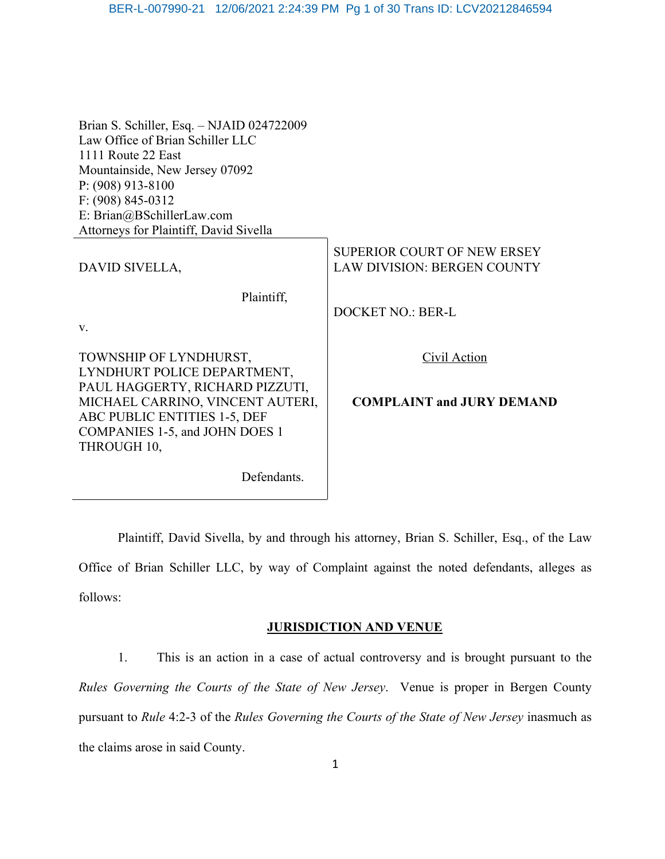## BER-L-007990-21 12/06/2021 2:24:39 PM Pg 1 of 30 Trans ID: LCV20212846594

| Brian S. Schiller, Esq. - NJAID 024722009<br>Law Office of Brian Schiller LLC<br>1111 Route 22 East<br>Mountainside, New Jersey 07092<br>$P: (908)$ 913-8100 |                                                                   |
|--------------------------------------------------------------------------------------------------------------------------------------------------------------|-------------------------------------------------------------------|
| $F: (908) 845 - 0312$<br>E: Brian@BSchillerLaw.com                                                                                                           |                                                                   |
| Attorneys for Plaintiff, David Sivella                                                                                                                       |                                                                   |
| DAVID SIVELLA,                                                                                                                                               | SUPERIOR COURT OF NEW ERSEY<br><b>LAW DIVISION: BERGEN COUNTY</b> |
| Plaintiff,                                                                                                                                                   |                                                                   |
|                                                                                                                                                              | <b>DOCKET NO.: BER-L</b>                                          |
| V.                                                                                                                                                           |                                                                   |
| TOWNSHIP OF LYNDHURST,<br>LYNDHURT POLICE DEPARTMENT,                                                                                                        | Civil Action                                                      |
| PAUL HAGGERTY, RICHARD PIZZUTI,<br>MICHAEL CARRINO, VINCENT AUTERI,                                                                                          | <b>COMPLAINT and JURY DEMAND</b>                                  |
| ABC PUBLIC ENTITIES 1-5, DEF                                                                                                                                 |                                                                   |
| COMPANIES 1-5, and JOHN DOES 1                                                                                                                               |                                                                   |
| THROUGH 10,                                                                                                                                                  |                                                                   |
| Defendants.                                                                                                                                                  |                                                                   |

Plaintiff, David Sivella, by and through his attorney, Brian S. Schiller, Esq., of the Law Office of Brian Schiller LLC, by way of Complaint against the noted defendants, alleges as follows:

## **JURISDICTION AND VENUE**

1. This is an action in a case of actual controversy and is brought pursuant to the *Rules Governing the Courts of the State of New Jersey*. Venue is proper in Bergen County pursuant to *Rule* 4:2-3 of the *Rules Governing the Courts of the State of New Jersey* inasmuch as the claims arose in said County.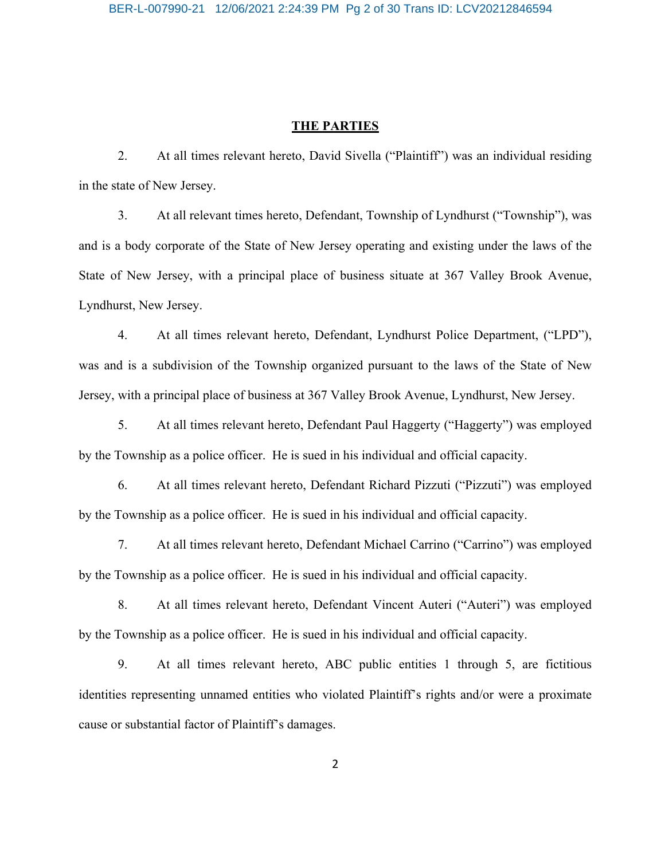#### **THE PARTIES**

2. At all times relevant hereto, David Sivella ("Plaintiff") was an individual residing in the state of New Jersey.

3. At all relevant times hereto, Defendant, Township of Lyndhurst ("Township"), was and is a body corporate of the State of New Jersey operating and existing under the laws of the State of New Jersey, with a principal place of business situate at 367 Valley Brook Avenue, Lyndhurst, New Jersey.

4. At all times relevant hereto, Defendant, Lyndhurst Police Department, ("LPD"), was and is a subdivision of the Township organized pursuant to the laws of the State of New Jersey, with a principal place of business at 367 Valley Brook Avenue, Lyndhurst, New Jersey.

5. At all times relevant hereto, Defendant Paul Haggerty ("Haggerty") was employed by the Township as a police officer. He is sued in his individual and official capacity.

6. At all times relevant hereto, Defendant Richard Pizzuti ("Pizzuti") was employed by the Township as a police officer. He is sued in his individual and official capacity.

7. At all times relevant hereto, Defendant Michael Carrino ("Carrino") was employed by the Township as a police officer. He is sued in his individual and official capacity.

8. At all times relevant hereto, Defendant Vincent Auteri ("Auteri") was employed by the Township as a police officer. He is sued in his individual and official capacity.

9. At all times relevant hereto, ABC public entities 1 through 5, are fictitious identities representing unnamed entities who violated Plaintiff's rights and/or were a proximate cause or substantial factor of Plaintiff's damages.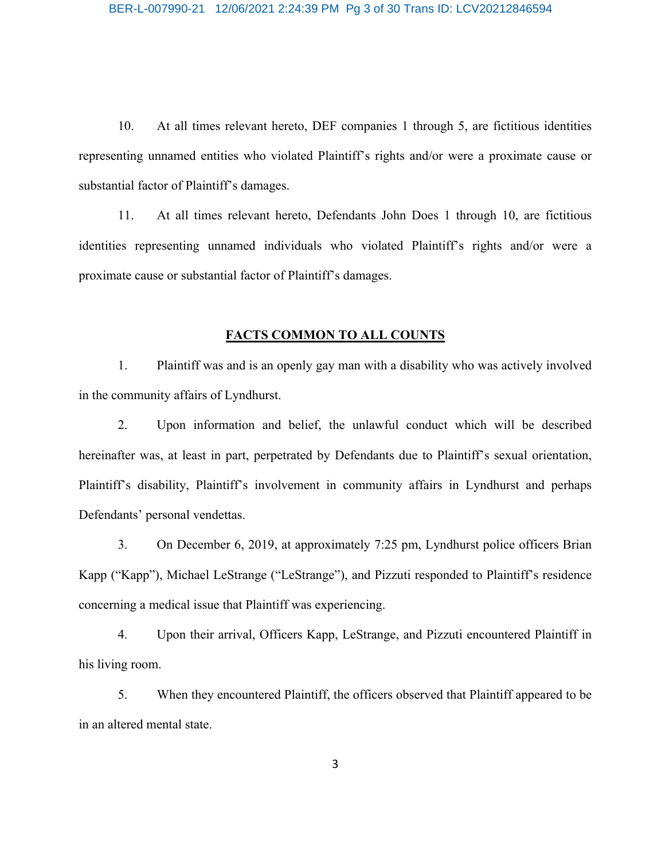10. At all times relevant hereto, DEF companies 1 through 5, are fictitious identities representing unnamed entities who violated Plaintiff's rights and/or were a proximate cause or substantial factor of Plaintiff's damages.

11. At all times relevant hereto, Defendants John Does 1 through 10, are fictitious identities representing unnamed individuals who violated Plaintiff's rights and/or were a proximate cause or substantial factor of Plaintiff's damages.

## **FACTS COMMON TO ALL COUNTS**

1. Plaintiff was and is an openly gay man with a disability who was actively involved in the community affairs of Lyndhurst.

2. Upon information and belief, the unlawful conduct which will be described hereinafter was, at least in part, perpetrated by Defendants due to Plaintiff's sexual orientation, Plaintiff's disability, Plaintiff's involvement in community affairs in Lyndhurst and perhaps Defendants' personal vendettas.

3. On December 6, 2019, at approximately 7:25 pm, Lyndhurst police officers Brian Kapp ("Kapp"), Michael LeStrange ("LeStrange"), and Pizzuti responded to Plaintiff's residence concerning a medical issue that Plaintiff was experiencing.

4. Upon their arrival, Officers Kapp, LeStrange, and Pizzuti encountered Plaintiff in his living room.

5. When they encountered Plaintiff, the officers observed that Plaintiff appeared to be in an altered mental state.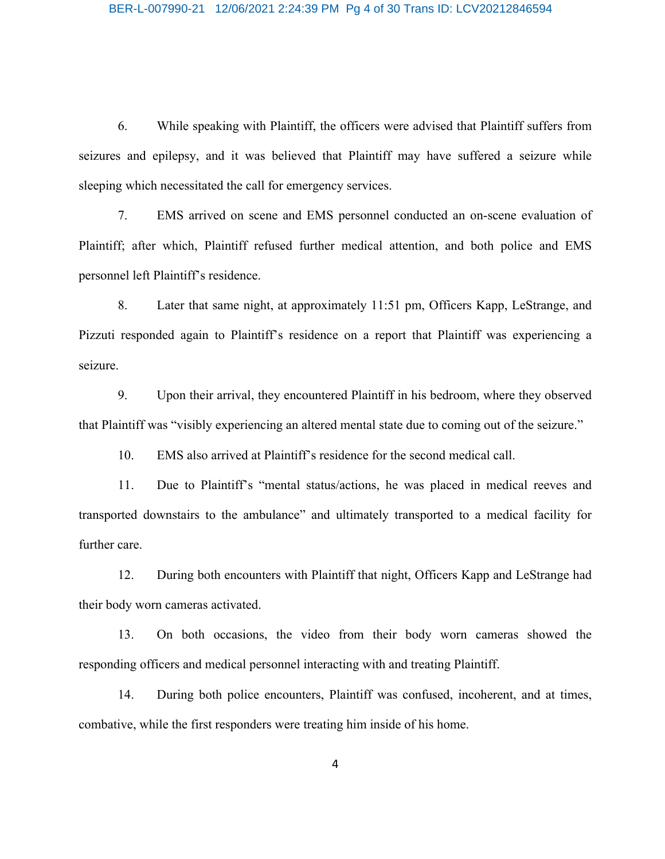6. While speaking with Plaintiff, the officers were advised that Plaintiff suffers from seizures and epilepsy, and it was believed that Plaintiff may have suffered a seizure while sleeping which necessitated the call for emergency services.

7. EMS arrived on scene and EMS personnel conducted an on-scene evaluation of Plaintiff; after which, Plaintiff refused further medical attention, and both police and EMS personnel left Plaintiff's residence.

8. Later that same night, at approximately 11:51 pm, Officers Kapp, LeStrange, and Pizzuti responded again to Plaintiff's residence on a report that Plaintiff was experiencing a seizure.

9. Upon their arrival, they encountered Plaintiff in his bedroom, where they observed that Plaintiff was "visibly experiencing an altered mental state due to coming out of the seizure."

10. EMS also arrived at Plaintiff's residence for the second medical call.

11. Due to Plaintiff's "mental status/actions, he was placed in medical reeves and transported downstairs to the ambulance" and ultimately transported to a medical facility for further care.

12. During both encounters with Plaintiff that night, Officers Kapp and LeStrange had their body worn cameras activated.

13. On both occasions, the video from their body worn cameras showed the responding officers and medical personnel interacting with and treating Plaintiff.

14. During both police encounters, Plaintiff was confused, incoherent, and at times, combative, while the first responders were treating him inside of his home.

4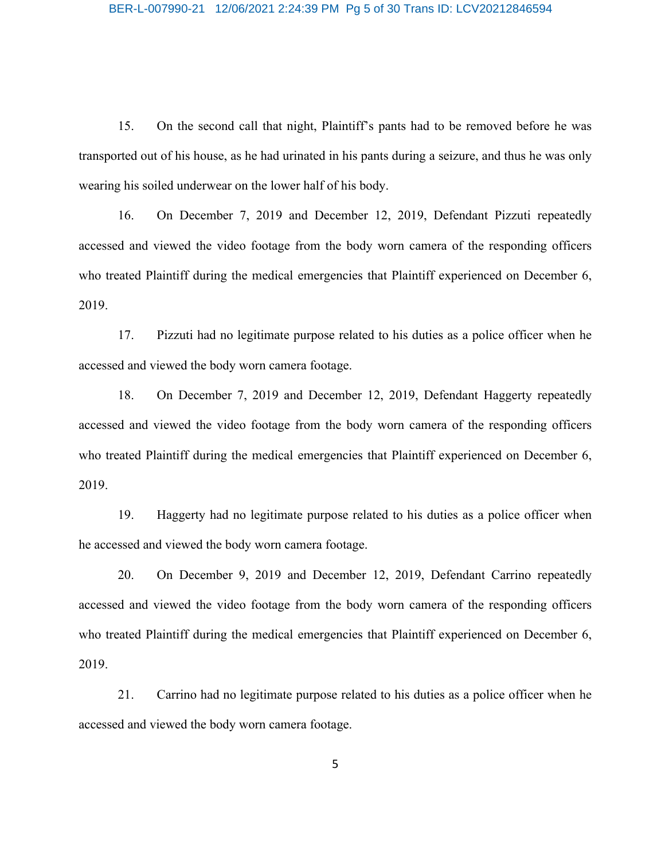15. On the second call that night, Plaintiff's pants had to be removed before he was transported out of his house, as he had urinated in his pants during a seizure, and thus he was only wearing his soiled underwear on the lower half of his body.

16. On December 7, 2019 and December 12, 2019, Defendant Pizzuti repeatedly accessed and viewed the video footage from the body worn camera of the responding officers who treated Plaintiff during the medical emergencies that Plaintiff experienced on December 6, 2019.

17. Pizzuti had no legitimate purpose related to his duties as a police officer when he accessed and viewed the body worn camera footage.

18. On December 7, 2019 and December 12, 2019, Defendant Haggerty repeatedly accessed and viewed the video footage from the body worn camera of the responding officers who treated Plaintiff during the medical emergencies that Plaintiff experienced on December 6, 2019.

19. Haggerty had no legitimate purpose related to his duties as a police officer when he accessed and viewed the body worn camera footage.

20. On December 9, 2019 and December 12, 2019, Defendant Carrino repeatedly accessed and viewed the video footage from the body worn camera of the responding officers who treated Plaintiff during the medical emergencies that Plaintiff experienced on December 6, 2019.

21. Carrino had no legitimate purpose related to his duties as a police officer when he accessed and viewed the body worn camera footage.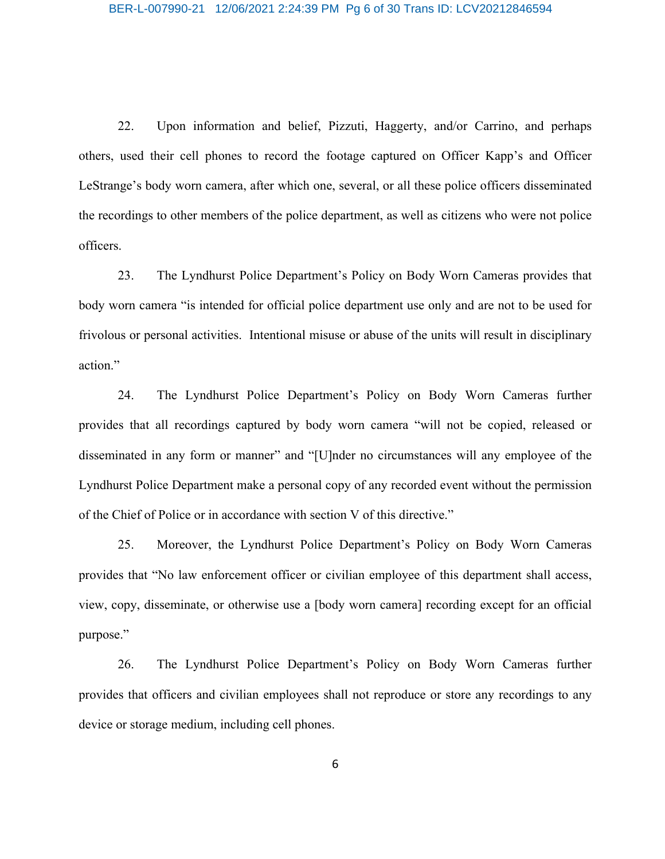#### BER-L-007990-21 12/06/2021 2:24:39 PM Pg 6 of 30 Trans ID: LCV20212846594

22. Upon information and belief, Pizzuti, Haggerty, and/or Carrino, and perhaps others, used their cell phones to record the footage captured on Officer Kapp's and Officer LeStrange's body worn camera, after which one, several, or all these police officers disseminated the recordings to other members of the police department, as well as citizens who were not police officers.

23. The Lyndhurst Police Department's Policy on Body Worn Cameras provides that body worn camera "is intended for official police department use only and are not to be used for frivolous or personal activities. Intentional misuse or abuse of the units will result in disciplinary action."

24. The Lyndhurst Police Department's Policy on Body Worn Cameras further provides that all recordings captured by body worn camera "will not be copied, released or disseminated in any form or manner" and "[U]nder no circumstances will any employee of the Lyndhurst Police Department make a personal copy of any recorded event without the permission of the Chief of Police or in accordance with section V of this directive."

25. Moreover, the Lyndhurst Police Department's Policy on Body Worn Cameras provides that "No law enforcement officer or civilian employee of this department shall access, view, copy, disseminate, or otherwise use a [body worn camera] recording except for an official purpose."

26. The Lyndhurst Police Department's Policy on Body Worn Cameras further provides that officers and civilian employees shall not reproduce or store any recordings to any device or storage medium, including cell phones.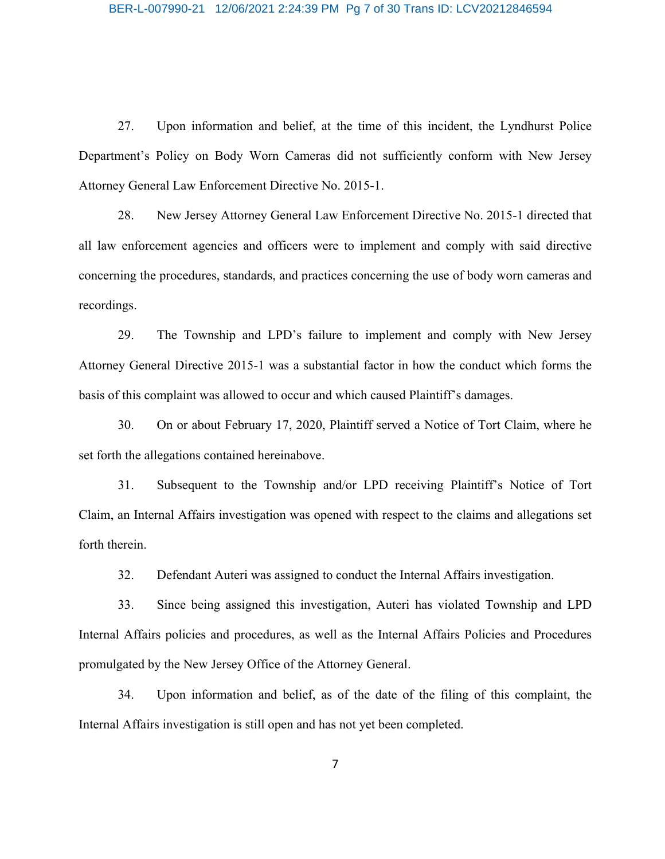27. Upon information and belief, at the time of this incident, the Lyndhurst Police Department's Policy on Body Worn Cameras did not sufficiently conform with New Jersey Attorney General Law Enforcement Directive No. 2015-1.

28. New Jersey Attorney General Law Enforcement Directive No. 2015-1 directed that all law enforcement agencies and officers were to implement and comply with said directive concerning the procedures, standards, and practices concerning the use of body worn cameras and recordings.

29. The Township and LPD's failure to implement and comply with New Jersey Attorney General Directive 2015-1 was a substantial factor in how the conduct which forms the basis of this complaint was allowed to occur and which caused Plaintiff's damages.

30. On or about February 17, 2020, Plaintiff served a Notice of Tort Claim, where he set forth the allegations contained hereinabove.

31. Subsequent to the Township and/or LPD receiving Plaintiff's Notice of Tort Claim, an Internal Affairs investigation was opened with respect to the claims and allegations set forth therein.

32. Defendant Auteri was assigned to conduct the Internal Affairs investigation.

33. Since being assigned this investigation, Auteri has violated Township and LPD Internal Affairs policies and procedures, as well as the Internal Affairs Policies and Procedures promulgated by the New Jersey Office of the Attorney General.

34. Upon information and belief, as of the date of the filing of this complaint, the Internal Affairs investigation is still open and has not yet been completed.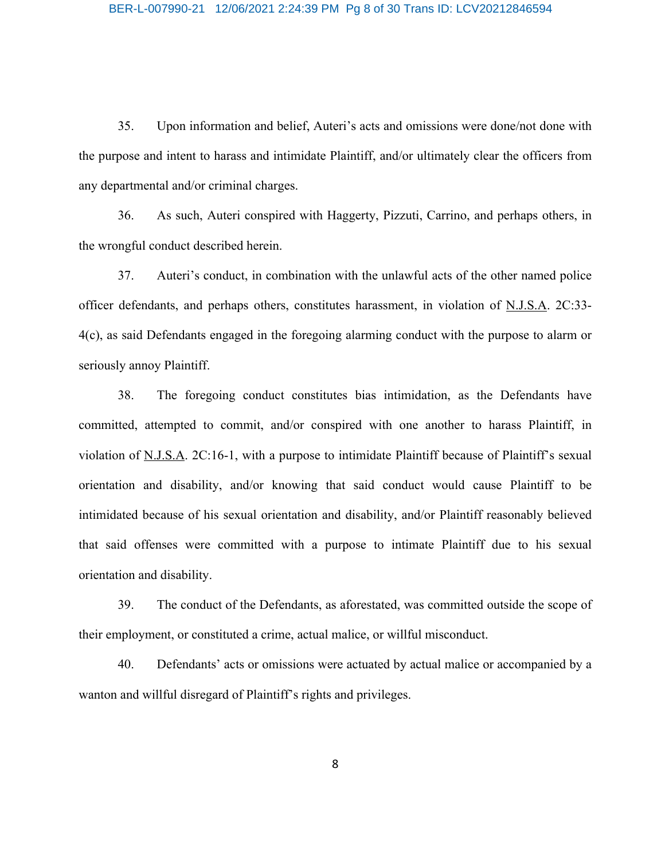35. Upon information and belief, Auteri's acts and omissions were done/not done with the purpose and intent to harass and intimidate Plaintiff, and/or ultimately clear the officers from any departmental and/or criminal charges.

36. As such, Auteri conspired with Haggerty, Pizzuti, Carrino, and perhaps others, in the wrongful conduct described herein.

37. Auteri's conduct, in combination with the unlawful acts of the other named police officer defendants, and perhaps others, constitutes harassment, in violation of N.J.S.A. 2C:33- 4(c), as said Defendants engaged in the foregoing alarming conduct with the purpose to alarm or seriously annoy Plaintiff.

38. The foregoing conduct constitutes bias intimidation, as the Defendants have committed, attempted to commit, and/or conspired with one another to harass Plaintiff, in violation of N.J.S.A. 2C:16-1, with a purpose to intimidate Plaintiff because of Plaintiff's sexual orientation and disability, and/or knowing that said conduct would cause Plaintiff to be intimidated because of his sexual orientation and disability, and/or Plaintiff reasonably believed that said offenses were committed with a purpose to intimate Plaintiff due to his sexual orientation and disability.

39. The conduct of the Defendants, as aforestated, was committed outside the scope of their employment, or constituted a crime, actual malice, or willful misconduct.

40. Defendants' acts or omissions were actuated by actual malice or accompanied by a wanton and willful disregard of Plaintiff's rights and privileges.

8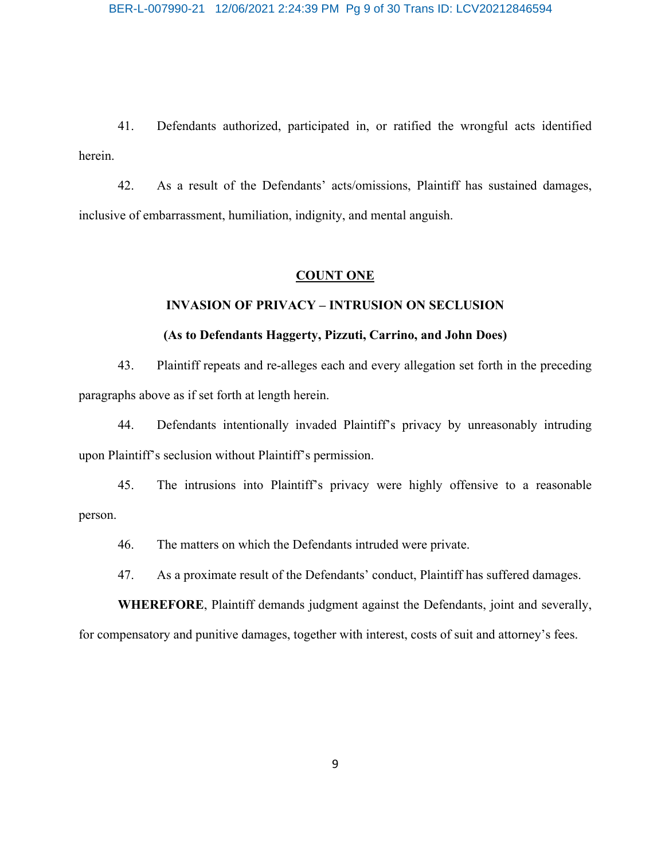41. Defendants authorized, participated in, or ratified the wrongful acts identified herein.

42. As a result of the Defendants' acts/omissions, Plaintiff has sustained damages, inclusive of embarrassment, humiliation, indignity, and mental anguish.

#### **COUNT ONE**

## **INVASION OF PRIVACY – INTRUSION ON SECLUSION**

## **(As to Defendants Haggerty, Pizzuti, Carrino, and John Does)**

43. Plaintiff repeats and re-alleges each and every allegation set forth in the preceding paragraphs above as if set forth at length herein.

44. Defendants intentionally invaded Plaintiff's privacy by unreasonably intruding upon Plaintiff's seclusion without Plaintiff's permission.

45. The intrusions into Plaintiff's privacy were highly offensive to a reasonable person.

46. The matters on which the Defendants intruded were private.

47. As a proximate result of the Defendants' conduct, Plaintiff has suffered damages.

**WHEREFORE**, Plaintiff demands judgment against the Defendants, joint and severally,

for compensatory and punitive damages, together with interest, costs of suit and attorney's fees.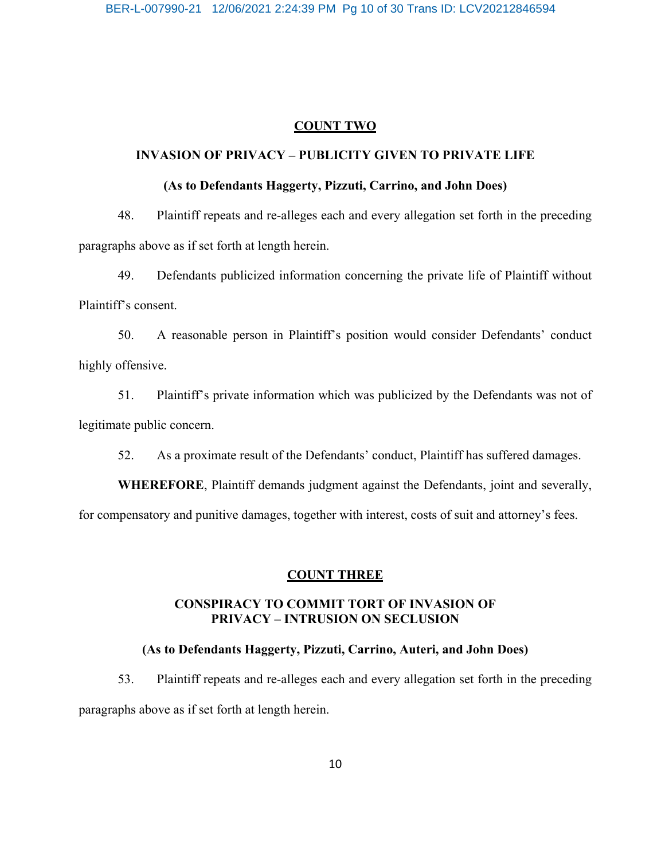## **COUNT TWO**

## **INVASION OF PRIVACY – PUBLICITY GIVEN TO PRIVATE LIFE**

## **(As to Defendants Haggerty, Pizzuti, Carrino, and John Does)**

48. Plaintiff repeats and re-alleges each and every allegation set forth in the preceding paragraphs above as if set forth at length herein.

49. Defendants publicized information concerning the private life of Plaintiff without Plaintiff's consent.

50. A reasonable person in Plaintiff's position would consider Defendants' conduct highly offensive.

51. Plaintiff's private information which was publicized by the Defendants was not of legitimate public concern.

52. As a proximate result of the Defendants' conduct, Plaintiff has suffered damages.

**WHEREFORE**, Plaintiff demands judgment against the Defendants, joint and severally,

for compensatory and punitive damages, together with interest, costs of suit and attorney's fees.

## **COUNT THREE**

## **CONSPIRACY TO COMMIT TORT OF INVASION OF PRIVACY – INTRUSION ON SECLUSION**

## **(As to Defendants Haggerty, Pizzuti, Carrino, Auteri, and John Does)**

53. Plaintiff repeats and re-alleges each and every allegation set forth in the preceding paragraphs above as if set forth at length herein.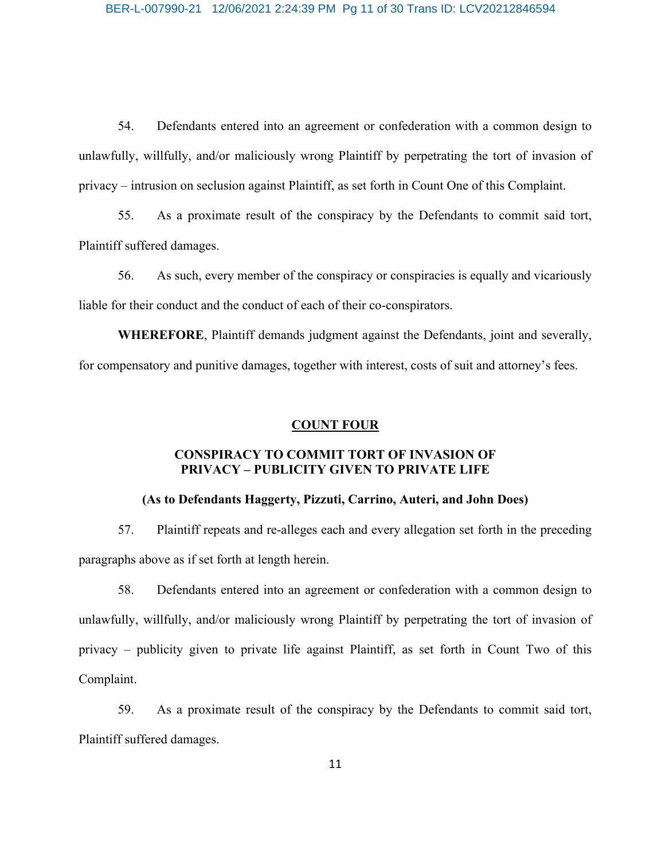54. Defendants entered into an agreement or confederation with a common design to unlawfully, willfully, and/or maliciously wrong Plaintiff by perpetrating the tort of invasion of privacy – intrusion on seclusion against Plaintiff, as set forth in Count One of this Complaint.

55. As a proximate result of the conspiracy by the Defendants to commit said tort, Plaintiff suffered damages.

56. As such, every member of the conspiracy or conspiracies is equally and vicariously liable for their conduct and the conduct of each of their co-conspirators.

**WHEREFORE**, Plaintiff demands judgment against the Defendants, joint and severally, for compensatory and punitive damages, together with interest, costs of suit and attorney's fees.

## **COUNT FOUR**

## **CONSPIRACY TO COMMIT TORT OF INVASION OF PRIVACY – PUBLICITY GIVEN TO PRIVATE LIFE**

## **(As to Defendants Haggerty, Pizzuti, Carrino, Auteri, and John Does)**

57. Plaintiff repeats and re-alleges each and every allegation set forth in the preceding paragraphs above as if set forth at length herein.

58. Defendants entered into an agreement or confederation with a common design to unlawfully, willfully, and/or maliciously wrong Plaintiff by perpetrating the tort of invasion of privacy – publicity given to private life against Plaintiff, as set forth in Count Two of this Complaint.

59. As a proximate result of the conspiracy by the Defendants to commit said tort, Plaintiff suffered damages.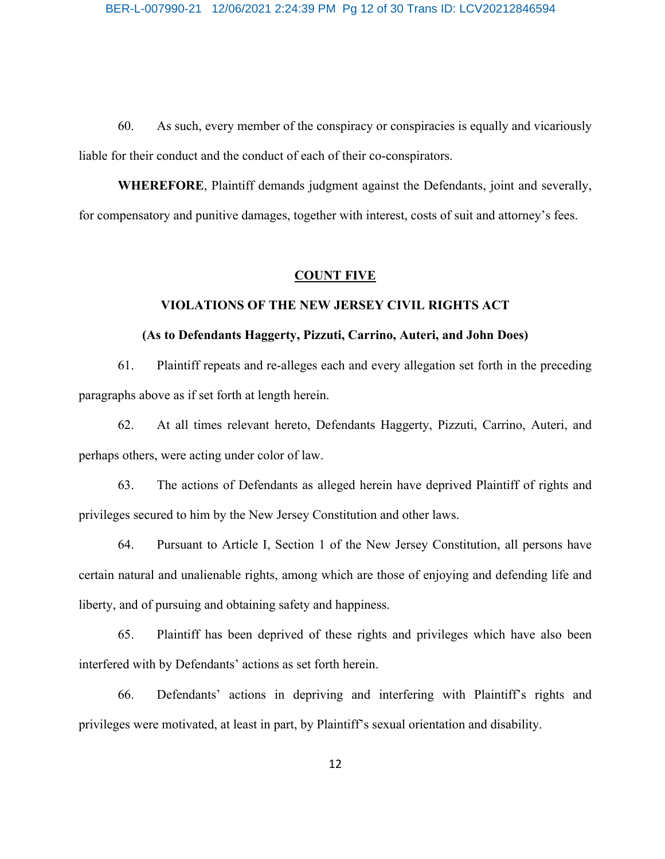60. As such, every member of the conspiracy or conspiracies is equally and vicariously liable for their conduct and the conduct of each of their co-conspirators.

**WHEREFORE**, Plaintiff demands judgment against the Defendants, joint and severally, for compensatory and punitive damages, together with interest, costs of suit and attorney's fees.

#### **COUNT FIVE**

## **VIOLATIONS OF THE NEW JERSEY CIVIL RIGHTS ACT**

## **(As to Defendants Haggerty, Pizzuti, Carrino, Auteri, and John Does)**

61. Plaintiff repeats and re-alleges each and every allegation set forth in the preceding paragraphs above as if set forth at length herein.

62. At all times relevant hereto, Defendants Haggerty, Pizzuti, Carrino, Auteri, and perhaps others, were acting under color of law.

63. The actions of Defendants as alleged herein have deprived Plaintiff of rights and privileges secured to him by the New Jersey Constitution and other laws.

64. Pursuant to Article I, Section 1 of the New Jersey Constitution, all persons have certain natural and unalienable rights, among which are those of enjoying and defending life and liberty, and of pursuing and obtaining safety and happiness.

65. Plaintiff has been deprived of these rights and privileges which have also been interfered with by Defendants' actions as set forth herein.

66. Defendants' actions in depriving and interfering with Plaintiff's rights and privileges were motivated, at least in part, by Plaintiff's sexual orientation and disability.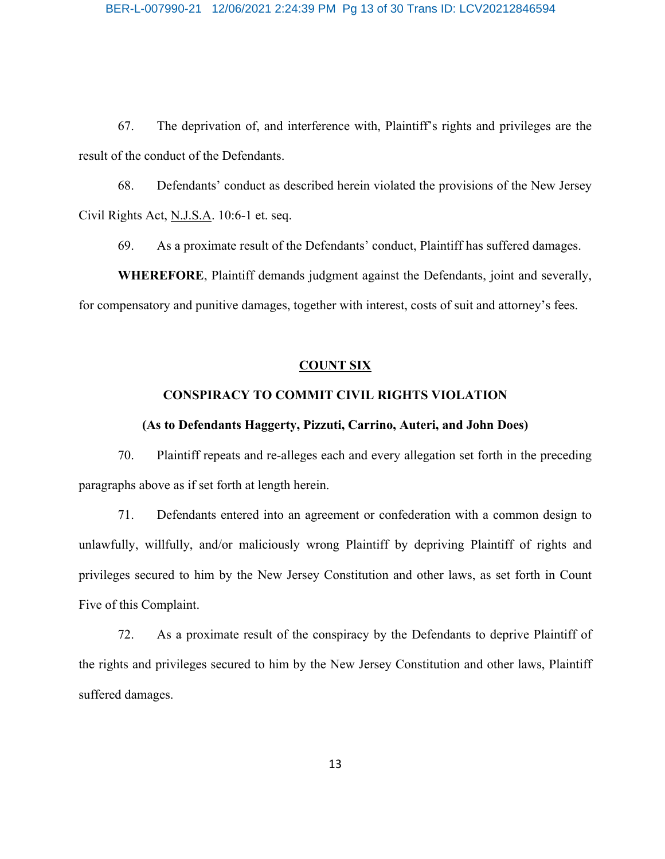67. The deprivation of, and interference with, Plaintiff's rights and privileges are the result of the conduct of the Defendants.

68. Defendants' conduct as described herein violated the provisions of the New Jersey Civil Rights Act, N.J.S.A. 10:6-1 et. seq.

69. As a proximate result of the Defendants' conduct, Plaintiff has suffered damages.

**WHEREFORE**, Plaintiff demands judgment against the Defendants, joint and severally, for compensatory and punitive damages, together with interest, costs of suit and attorney's fees.

## **COUNT SIX**

## **CONSPIRACY TO COMMIT CIVIL RIGHTS VIOLATION**

## **(As to Defendants Haggerty, Pizzuti, Carrino, Auteri, and John Does)**

70. Plaintiff repeats and re-alleges each and every allegation set forth in the preceding paragraphs above as if set forth at length herein.

71. Defendants entered into an agreement or confederation with a common design to unlawfully, willfully, and/or maliciously wrong Plaintiff by depriving Plaintiff of rights and privileges secured to him by the New Jersey Constitution and other laws, as set forth in Count Five of this Complaint.

72. As a proximate result of the conspiracy by the Defendants to deprive Plaintiff of the rights and privileges secured to him by the New Jersey Constitution and other laws, Plaintiff suffered damages.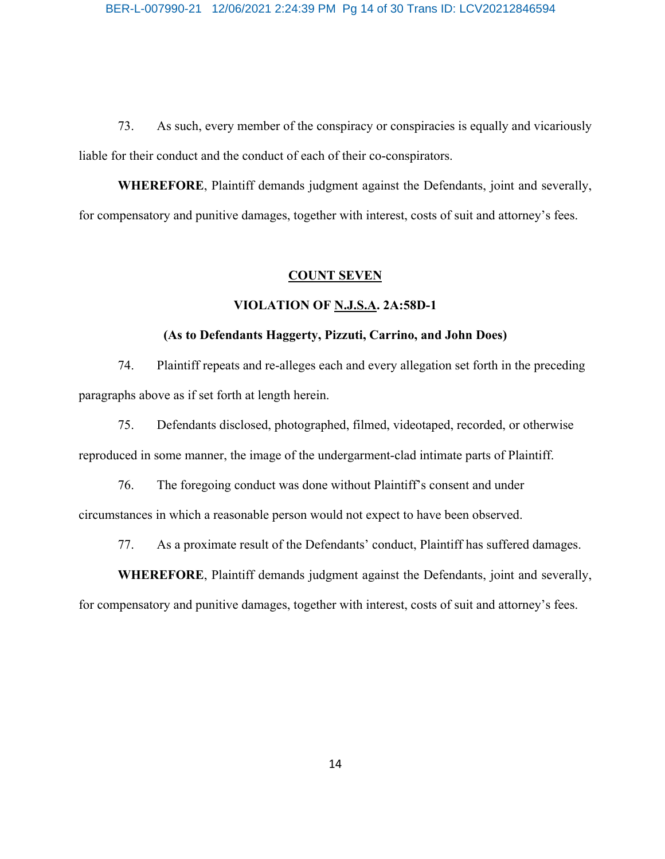73. As such, every member of the conspiracy or conspiracies is equally and vicariously liable for their conduct and the conduct of each of their co-conspirators.

**WHEREFORE**, Plaintiff demands judgment against the Defendants, joint and severally, for compensatory and punitive damages, together with interest, costs of suit and attorney's fees.

#### **COUNT SEVEN**

## **VIOLATION OF N.J.S.A. 2A:58D-1**

#### **(As to Defendants Haggerty, Pizzuti, Carrino, and John Does)**

74. Plaintiff repeats and re-alleges each and every allegation set forth in the preceding paragraphs above as if set forth at length herein.

75. Defendants disclosed, photographed, filmed, videotaped, recorded, or otherwise reproduced in some manner, the image of the undergarment-clad intimate parts of Plaintiff.

76. The foregoing conduct was done without Plaintiff's consent and under circumstances in which a reasonable person would not expect to have been observed.

77. As a proximate result of the Defendants' conduct, Plaintiff has suffered damages.

**WHEREFORE**, Plaintiff demands judgment against the Defendants, joint and severally,

for compensatory and punitive damages, together with interest, costs of suit and attorney's fees.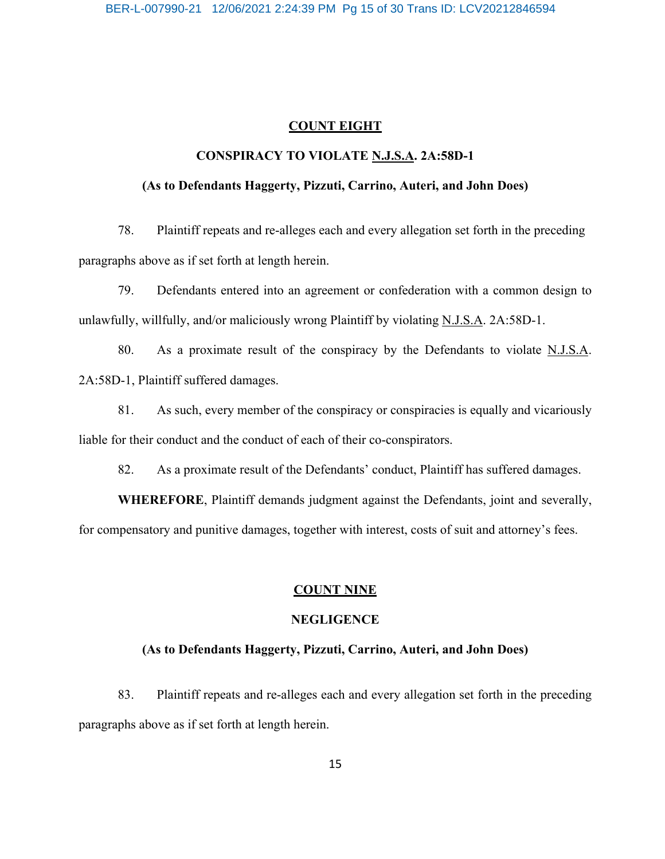#### **COUNT EIGHT**

## **CONSPIRACY TO VIOLATE N.J.S.A. 2A:58D-1**

## **(As to Defendants Haggerty, Pizzuti, Carrino, Auteri, and John Does)**

78. Plaintiff repeats and re-alleges each and every allegation set forth in the preceding paragraphs above as if set forth at length herein.

79. Defendants entered into an agreement or confederation with a common design to unlawfully, willfully, and/or maliciously wrong Plaintiff by violating N.J.S.A. 2A:58D-1.

80. As a proximate result of the conspiracy by the Defendants to violate N.J.S.A. 2A:58D-1, Plaintiff suffered damages.

81. As such, every member of the conspiracy or conspiracies is equally and vicariously liable for their conduct and the conduct of each of their co-conspirators.

82. As a proximate result of the Defendants' conduct, Plaintiff has suffered damages.

**WHEREFORE**, Plaintiff demands judgment against the Defendants, joint and severally, for compensatory and punitive damages, together with interest, costs of suit and attorney's fees.

## **COUNT NINE**

## **NEGLIGENCE**

#### **(As to Defendants Haggerty, Pizzuti, Carrino, Auteri, and John Does)**

83. Plaintiff repeats and re-alleges each and every allegation set forth in the preceding paragraphs above as if set forth at length herein.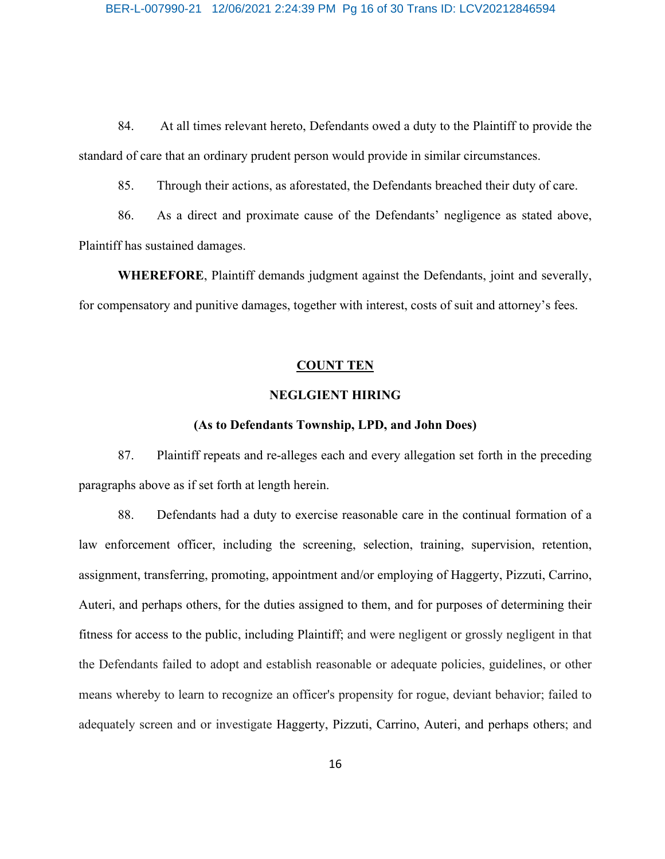84. At all times relevant hereto, Defendants owed a duty to the Plaintiff to provide the standard of care that an ordinary prudent person would provide in similar circumstances.

85. Through their actions, as aforestated, the Defendants breached their duty of care.

86. As a direct and proximate cause of the Defendants' negligence as stated above, Plaintiff has sustained damages.

**WHEREFORE**, Plaintiff demands judgment against the Defendants, joint and severally, for compensatory and punitive damages, together with interest, costs of suit and attorney's fees.

## **COUNT TEN**

## **NEGLGIENT HIRING**

## **(As to Defendants Township, LPD, and John Does)**

87. Plaintiff repeats and re-alleges each and every allegation set forth in the preceding paragraphs above as if set forth at length herein.

88. Defendants had a duty to exercise reasonable care in the continual formation of a law enforcement officer, including the screening, selection, training, supervision, retention, assignment, transferring, promoting, appointment and/or employing of Haggerty, Pizzuti, Carrino, Auteri, and perhaps others, for the duties assigned to them, and for purposes of determining their fitness for access to the public, including Plaintiff; and were negligent or grossly negligent in that the Defendants failed to adopt and establish reasonable or adequate policies, guidelines, or other means whereby to learn to recognize an officer's propensity for rogue, deviant behavior; failed to adequately screen and or investigate Haggerty, Pizzuti, Carrino, Auteri, and perhaps others; and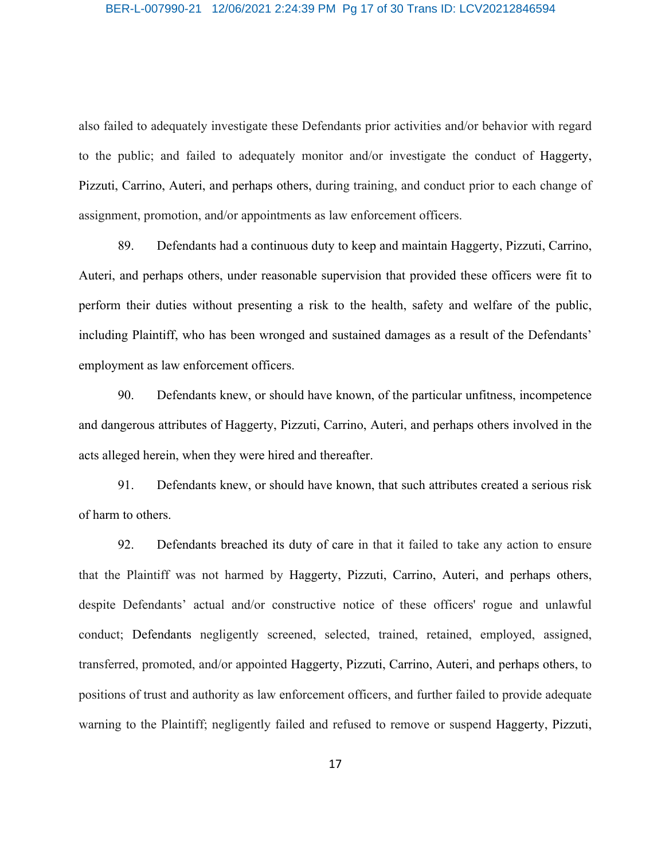#### BER-L-007990-21 12/06/2021 2:24:39 PM Pg 17 of 30 Trans ID: LCV20212846594

also failed to adequately investigate these Defendants prior activities and/or behavior with regard to the public; and failed to adequately monitor and/or investigate the conduct of Haggerty, Pizzuti, Carrino, Auteri, and perhaps others, during training, and conduct prior to each change of assignment, promotion, and/or appointments as law enforcement officers.

89. Defendants had a continuous duty to keep and maintain Haggerty, Pizzuti, Carrino, Auteri, and perhaps others, under reasonable supervision that provided these officers were fit to perform their duties without presenting a risk to the health, safety and welfare of the public, including Plaintiff, who has been wronged and sustained damages as a result of the Defendants' employment as law enforcement officers.

90. Defendants knew, or should have known, of the particular unfitness, incompetence and dangerous attributes of Haggerty, Pizzuti, Carrino, Auteri, and perhaps others involved in the acts alleged herein, when they were hired and thereafter.

91. Defendants knew, or should have known, that such attributes created a serious risk of harm to others.

92. Defendants breached its duty of care in that it failed to take any action to ensure that the Plaintiff was not harmed by Haggerty, Pizzuti, Carrino, Auteri, and perhaps others, despite Defendants' actual and/or constructive notice of these officers' rogue and unlawful conduct; Defendants negligently screened, selected, trained, retained, employed, assigned, transferred, promoted, and/or appointed Haggerty, Pizzuti, Carrino, Auteri, and perhaps others, to positions of trust and authority as law enforcement officers, and further failed to provide adequate warning to the Plaintiff; negligently failed and refused to remove or suspend Haggerty, Pizzuti,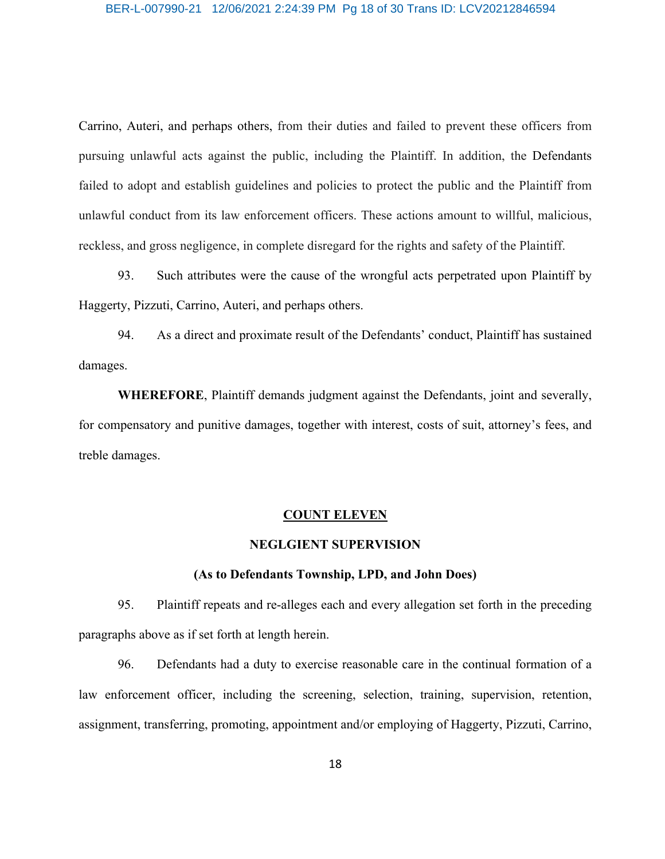#### BER-L-007990-21 12/06/2021 2:24:39 PM Pg 18 of 30 Trans ID: LCV20212846594

Carrino, Auteri, and perhaps others, from their duties and failed to prevent these officers from pursuing unlawful acts against the public, including the Plaintiff. In addition, the Defendants failed to adopt and establish guidelines and policies to protect the public and the Plaintiff from unlawful conduct from its law enforcement officers. These actions amount to willful, malicious, reckless, and gross negligence, in complete disregard for the rights and safety of the Plaintiff.

93. Such attributes were the cause of the wrongful acts perpetrated upon Plaintiff by Haggerty, Pizzuti, Carrino, Auteri, and perhaps others.

94. As a direct and proximate result of the Defendants' conduct, Plaintiff has sustained damages.

**WHEREFORE**, Plaintiff demands judgment against the Defendants, joint and severally, for compensatory and punitive damages, together with interest, costs of suit, attorney's fees, and treble damages.

#### **COUNT ELEVEN**

#### **NEGLGIENT SUPERVISION**

## **(As to Defendants Township, LPD, and John Does)**

95. Plaintiff repeats and re-alleges each and every allegation set forth in the preceding paragraphs above as if set forth at length herein.

96. Defendants had a duty to exercise reasonable care in the continual formation of a law enforcement officer, including the screening, selection, training, supervision, retention, assignment, transferring, promoting, appointment and/or employing of Haggerty, Pizzuti, Carrino,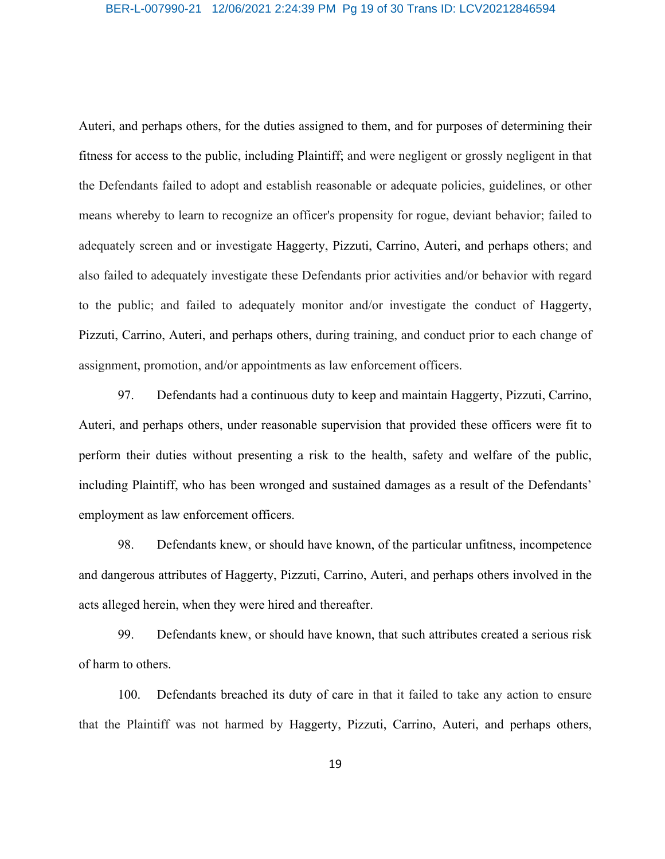#### BER-L-007990-21 12/06/2021 2:24:39 PM Pg 19 of 30 Trans ID: LCV20212846594

Auteri, and perhaps others, for the duties assigned to them, and for purposes of determining their fitness for access to the public, including Plaintiff; and were negligent or grossly negligent in that the Defendants failed to adopt and establish reasonable or adequate policies, guidelines, or other means whereby to learn to recognize an officer's propensity for rogue, deviant behavior; failed to adequately screen and or investigate Haggerty, Pizzuti, Carrino, Auteri, and perhaps others; and also failed to adequately investigate these Defendants prior activities and/or behavior with regard to the public; and failed to adequately monitor and/or investigate the conduct of Haggerty, Pizzuti, Carrino, Auteri, and perhaps others, during training, and conduct prior to each change of assignment, promotion, and/or appointments as law enforcement officers.

97. Defendants had a continuous duty to keep and maintain Haggerty, Pizzuti, Carrino, Auteri, and perhaps others, under reasonable supervision that provided these officers were fit to perform their duties without presenting a risk to the health, safety and welfare of the public, including Plaintiff, who has been wronged and sustained damages as a result of the Defendants' employment as law enforcement officers.

98. Defendants knew, or should have known, of the particular unfitness, incompetence and dangerous attributes of Haggerty, Pizzuti, Carrino, Auteri, and perhaps others involved in the acts alleged herein, when they were hired and thereafter.

99. Defendants knew, or should have known, that such attributes created a serious risk of harm to others.

100. Defendants breached its duty of care in that it failed to take any action to ensure that the Plaintiff was not harmed by Haggerty, Pizzuti, Carrino, Auteri, and perhaps others,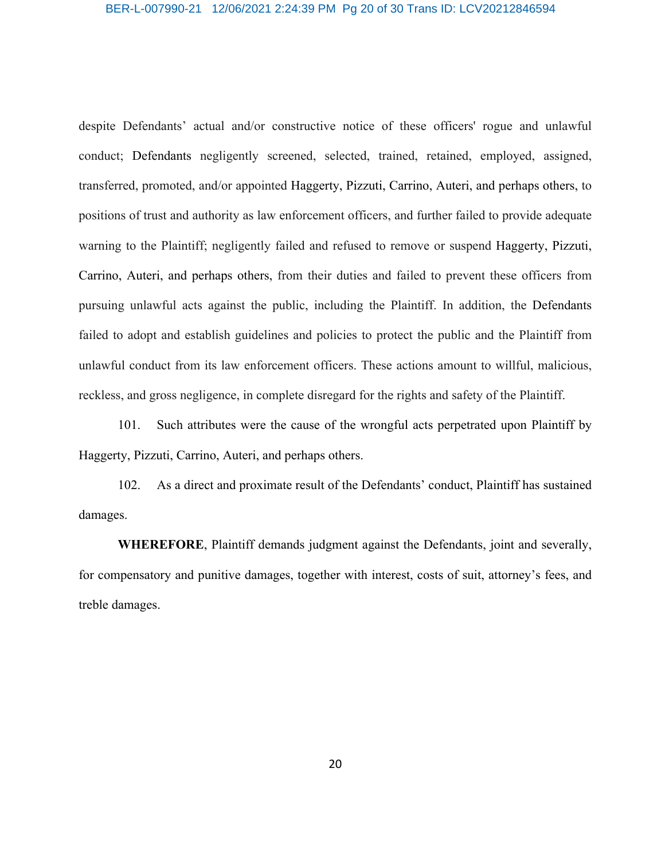#### BER-L-007990-21 12/06/2021 2:24:39 PM Pg 20 of 30 Trans ID: LCV20212846594

despite Defendants' actual and/or constructive notice of these officers' rogue and unlawful conduct; Defendants negligently screened, selected, trained, retained, employed, assigned, transferred, promoted, and/or appointed Haggerty, Pizzuti, Carrino, Auteri, and perhaps others, to positions of trust and authority as law enforcement officers, and further failed to provide adequate warning to the Plaintiff; negligently failed and refused to remove or suspend Haggerty, Pizzuti, Carrino, Auteri, and perhaps others, from their duties and failed to prevent these officers from pursuing unlawful acts against the public, including the Plaintiff. In addition, the Defendants failed to adopt and establish guidelines and policies to protect the public and the Plaintiff from unlawful conduct from its law enforcement officers. These actions amount to willful, malicious, reckless, and gross negligence, in complete disregard for the rights and safety of the Plaintiff.

101. Such attributes were the cause of the wrongful acts perpetrated upon Plaintiff by Haggerty, Pizzuti, Carrino, Auteri, and perhaps others.

102. As a direct and proximate result of the Defendants' conduct, Plaintiff has sustained damages.

**WHEREFORE**, Plaintiff demands judgment against the Defendants, joint and severally, for compensatory and punitive damages, together with interest, costs of suit, attorney's fees, and treble damages.

20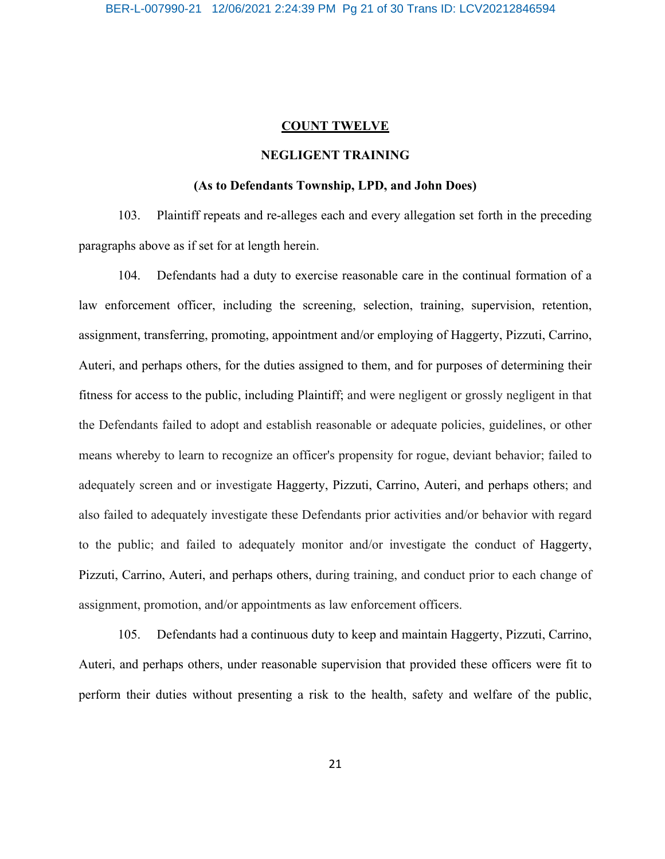#### **COUNT TWELVE**

## **NEGLIGENT TRAINING**

## **(As to Defendants Township, LPD, and John Does)**

103. Plaintiff repeats and re-alleges each and every allegation set forth in the preceding paragraphs above as if set for at length herein.

104. Defendants had a duty to exercise reasonable care in the continual formation of a law enforcement officer, including the screening, selection, training, supervision, retention, assignment, transferring, promoting, appointment and/or employing of Haggerty, Pizzuti, Carrino, Auteri, and perhaps others, for the duties assigned to them, and for purposes of determining their fitness for access to the public, including Plaintiff; and were negligent or grossly negligent in that the Defendants failed to adopt and establish reasonable or adequate policies, guidelines, or other means whereby to learn to recognize an officer's propensity for rogue, deviant behavior; failed to adequately screen and or investigate Haggerty, Pizzuti, Carrino, Auteri, and perhaps others; and also failed to adequately investigate these Defendants prior activities and/or behavior with regard to the public; and failed to adequately monitor and/or investigate the conduct of Haggerty, Pizzuti, Carrino, Auteri, and perhaps others, during training, and conduct prior to each change of assignment, promotion, and/or appointments as law enforcement officers.

105. Defendants had a continuous duty to keep and maintain Haggerty, Pizzuti, Carrino, Auteri, and perhaps others, under reasonable supervision that provided these officers were fit to perform their duties without presenting a risk to the health, safety and welfare of the public,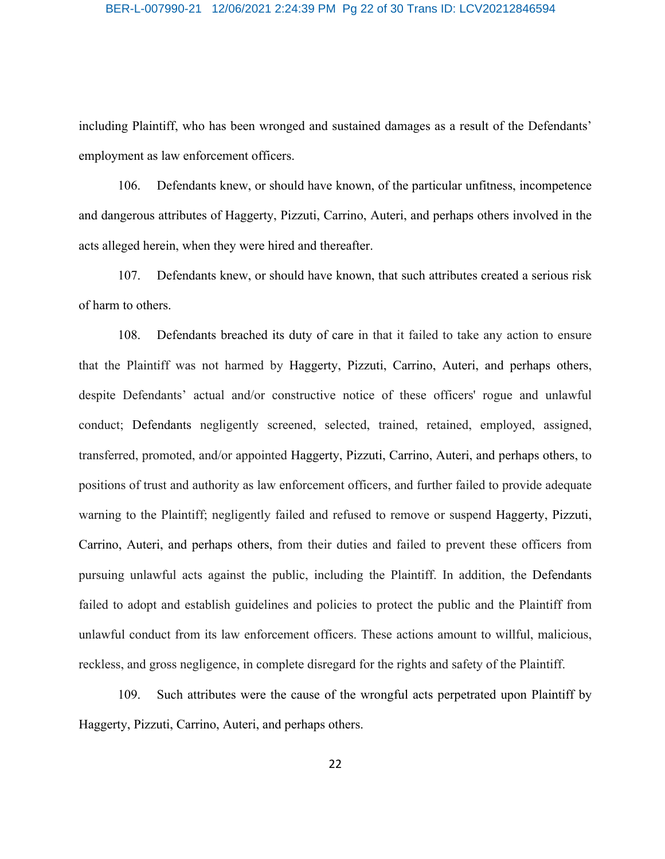#### BER-L-007990-21 12/06/2021 2:24:39 PM Pg 22 of 30 Trans ID: LCV20212846594

including Plaintiff, who has been wronged and sustained damages as a result of the Defendants' employment as law enforcement officers.

106. Defendants knew, or should have known, of the particular unfitness, incompetence and dangerous attributes of Haggerty, Pizzuti, Carrino, Auteri, and perhaps others involved in the acts alleged herein, when they were hired and thereafter.

107. Defendants knew, or should have known, that such attributes created a serious risk of harm to others.

108. Defendants breached its duty of care in that it failed to take any action to ensure that the Plaintiff was not harmed by Haggerty, Pizzuti, Carrino, Auteri, and perhaps others, despite Defendants' actual and/or constructive notice of these officers' rogue and unlawful conduct; Defendants negligently screened, selected, trained, retained, employed, assigned, transferred, promoted, and/or appointed Haggerty, Pizzuti, Carrino, Auteri, and perhaps others, to positions of trust and authority as law enforcement officers, and further failed to provide adequate warning to the Plaintiff; negligently failed and refused to remove or suspend Haggerty, Pizzuti, Carrino, Auteri, and perhaps others, from their duties and failed to prevent these officers from pursuing unlawful acts against the public, including the Plaintiff. In addition, the Defendants failed to adopt and establish guidelines and policies to protect the public and the Plaintiff from unlawful conduct from its law enforcement officers. These actions amount to willful, malicious, reckless, and gross negligence, in complete disregard for the rights and safety of the Plaintiff.

109. Such attributes were the cause of the wrongful acts perpetrated upon Plaintiff by Haggerty, Pizzuti, Carrino, Auteri, and perhaps others.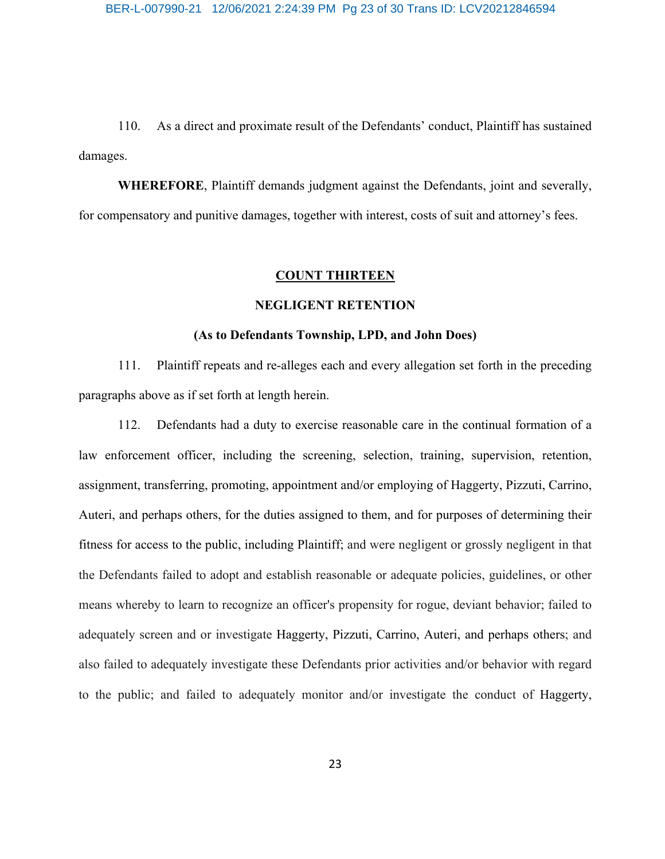110. As a direct and proximate result of the Defendants' conduct, Plaintiff has sustained damages.

**WHEREFORE**, Plaintiff demands judgment against the Defendants, joint and severally, for compensatory and punitive damages, together with interest, costs of suit and attorney's fees.

#### **COUNT THIRTEEN**

## **NEGLIGENT RETENTION**

#### **(As to Defendants Township, LPD, and John Does)**

111. Plaintiff repeats and re-alleges each and every allegation set forth in the preceding paragraphs above as if set forth at length herein.

112. Defendants had a duty to exercise reasonable care in the continual formation of a law enforcement officer, including the screening, selection, training, supervision, retention, assignment, transferring, promoting, appointment and/or employing of Haggerty, Pizzuti, Carrino, Auteri, and perhaps others, for the duties assigned to them, and for purposes of determining their fitness for access to the public, including Plaintiff; and were negligent or grossly negligent in that the Defendants failed to adopt and establish reasonable or adequate policies, guidelines, or other means whereby to learn to recognize an officer's propensity for rogue, deviant behavior; failed to adequately screen and or investigate Haggerty, Pizzuti, Carrino, Auteri, and perhaps others; and also failed to adequately investigate these Defendants prior activities and/or behavior with regard to the public; and failed to adequately monitor and/or investigate the conduct of Haggerty,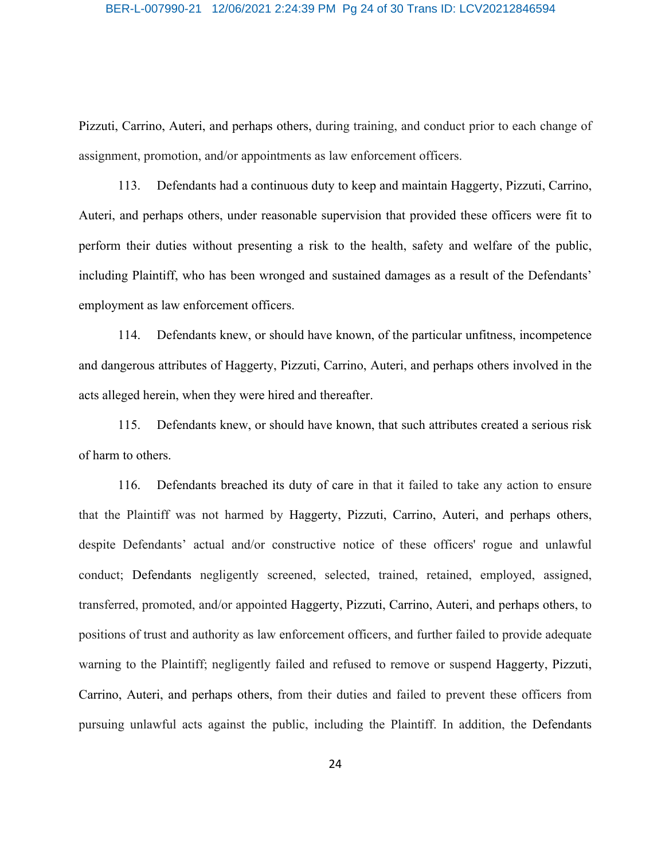#### BER-L-007990-21 12/06/2021 2:24:39 PM Pg 24 of 30 Trans ID: LCV20212846594

Pizzuti, Carrino, Auteri, and perhaps others, during training, and conduct prior to each change of assignment, promotion, and/or appointments as law enforcement officers.

113. Defendants had a continuous duty to keep and maintain Haggerty, Pizzuti, Carrino, Auteri, and perhaps others, under reasonable supervision that provided these officers were fit to perform their duties without presenting a risk to the health, safety and welfare of the public, including Plaintiff, who has been wronged and sustained damages as a result of the Defendants' employment as law enforcement officers.

114. Defendants knew, or should have known, of the particular unfitness, incompetence and dangerous attributes of Haggerty, Pizzuti, Carrino, Auteri, and perhaps others involved in the acts alleged herein, when they were hired and thereafter.

115. Defendants knew, or should have known, that such attributes created a serious risk of harm to others.

116. Defendants breached its duty of care in that it failed to take any action to ensure that the Plaintiff was not harmed by Haggerty, Pizzuti, Carrino, Auteri, and perhaps others, despite Defendants' actual and/or constructive notice of these officers' rogue and unlawful conduct; Defendants negligently screened, selected, trained, retained, employed, assigned, transferred, promoted, and/or appointed Haggerty, Pizzuti, Carrino, Auteri, and perhaps others, to positions of trust and authority as law enforcement officers, and further failed to provide adequate warning to the Plaintiff; negligently failed and refused to remove or suspend Haggerty, Pizzuti, Carrino, Auteri, and perhaps others, from their duties and failed to prevent these officers from pursuing unlawful acts against the public, including the Plaintiff. In addition, the Defendants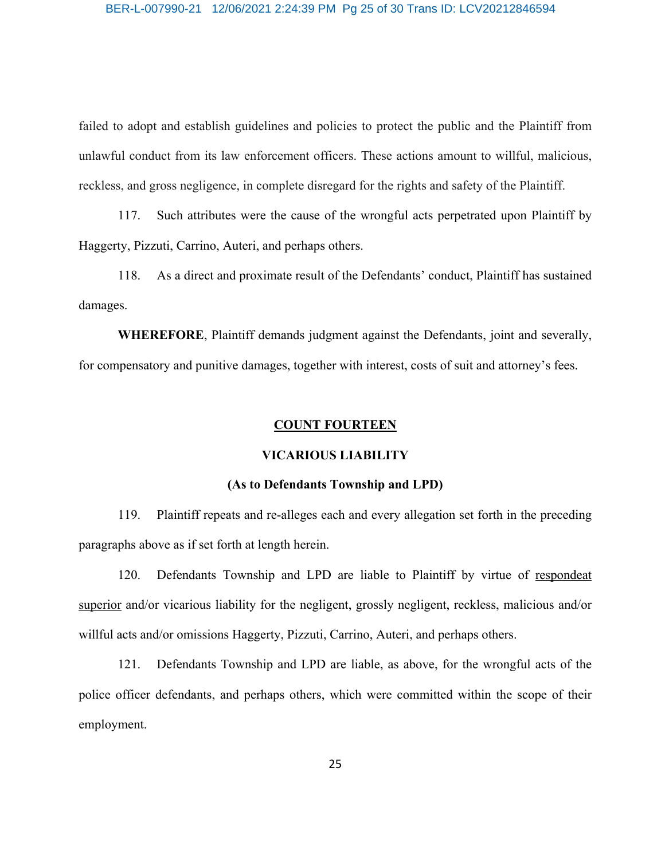failed to adopt and establish guidelines and policies to protect the public and the Plaintiff from unlawful conduct from its law enforcement officers. These actions amount to willful, malicious, reckless, and gross negligence, in complete disregard for the rights and safety of the Plaintiff.

117. Such attributes were the cause of the wrongful acts perpetrated upon Plaintiff by Haggerty, Pizzuti, Carrino, Auteri, and perhaps others.

118. As a direct and proximate result of the Defendants' conduct, Plaintiff has sustained damages.

**WHEREFORE**, Plaintiff demands judgment against the Defendants, joint and severally, for compensatory and punitive damages, together with interest, costs of suit and attorney's fees.

## **COUNT FOURTEEN**

## **VICARIOUS LIABILITY**

#### **(As to Defendants Township and LPD)**

119. Plaintiff repeats and re-alleges each and every allegation set forth in the preceding paragraphs above as if set forth at length herein.

120. Defendants Township and LPD are liable to Plaintiff by virtue of respondeat superior and/or vicarious liability for the negligent, grossly negligent, reckless, malicious and/or willful acts and/or omissions Haggerty, Pizzuti, Carrino, Auteri, and perhaps others.

121. Defendants Township and LPD are liable, as above, for the wrongful acts of the police officer defendants, and perhaps others, which were committed within the scope of their employment.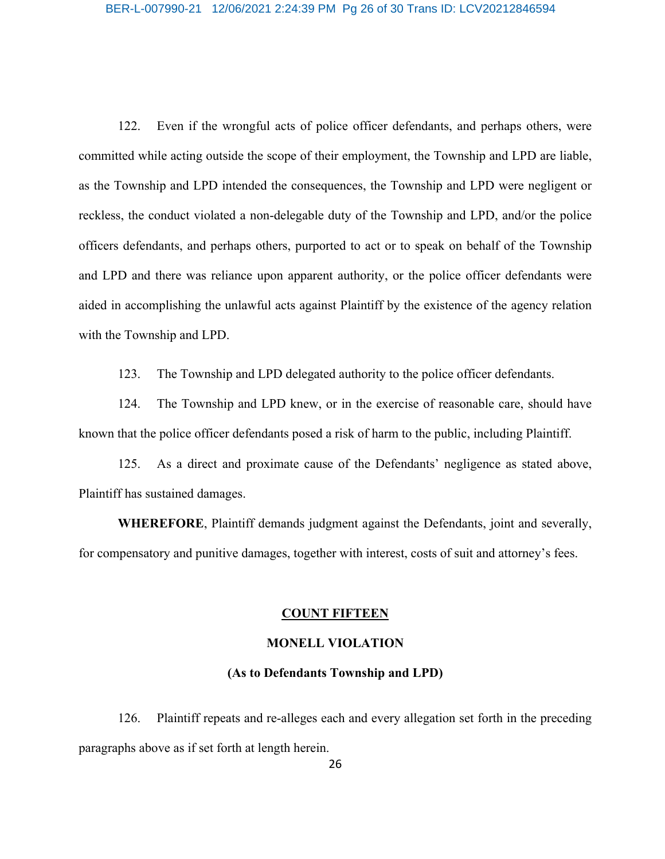#### BER-L-007990-21 12/06/2021 2:24:39 PM Pg 26 of 30 Trans ID: LCV20212846594

122. Even if the wrongful acts of police officer defendants, and perhaps others, were committed while acting outside the scope of their employment, the Township and LPD are liable, as the Township and LPD intended the consequences, the Township and LPD were negligent or reckless, the conduct violated a non-delegable duty of the Township and LPD, and/or the police officers defendants, and perhaps others, purported to act or to speak on behalf of the Township and LPD and there was reliance upon apparent authority, or the police officer defendants were aided in accomplishing the unlawful acts against Plaintiff by the existence of the agency relation with the Township and LPD.

123. The Township and LPD delegated authority to the police officer defendants.

124. The Township and LPD knew, or in the exercise of reasonable care, should have known that the police officer defendants posed a risk of harm to the public, including Plaintiff.

125. As a direct and proximate cause of the Defendants' negligence as stated above, Plaintiff has sustained damages.

**WHEREFORE**, Plaintiff demands judgment against the Defendants, joint and severally, for compensatory and punitive damages, together with interest, costs of suit and attorney's fees.

#### **COUNT FIFTEEN**

## **MONELL VIOLATION**

#### **(As to Defendants Township and LPD)**

126. Plaintiff repeats and re-alleges each and every allegation set forth in the preceding paragraphs above as if set forth at length herein.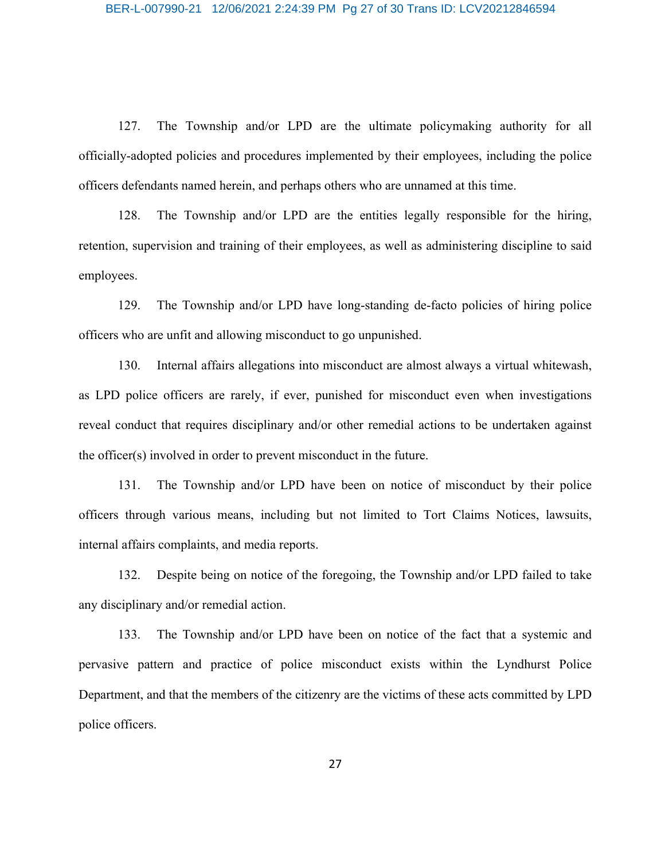127. The Township and/or LPD are the ultimate policymaking authority for all officially-adopted policies and procedures implemented by their employees, including the police officers defendants named herein, and perhaps others who are unnamed at this time.

128. The Township and/or LPD are the entities legally responsible for the hiring, retention, supervision and training of their employees, as well as administering discipline to said employees.

129. The Township and/or LPD have long-standing de-facto policies of hiring police officers who are unfit and allowing misconduct to go unpunished.

130. Internal affairs allegations into misconduct are almost always a virtual whitewash, as LPD police officers are rarely, if ever, punished for misconduct even when investigations reveal conduct that requires disciplinary and/or other remedial actions to be undertaken against the officer(s) involved in order to prevent misconduct in the future.

131. The Township and/or LPD have been on notice of misconduct by their police officers through various means, including but not limited to Tort Claims Notices, lawsuits, internal affairs complaints, and media reports.

132. Despite being on notice of the foregoing, the Township and/or LPD failed to take any disciplinary and/or remedial action.

133. The Township and/or LPD have been on notice of the fact that a systemic and pervasive pattern and practice of police misconduct exists within the Lyndhurst Police Department, and that the members of the citizenry are the victims of these acts committed by LPD police officers.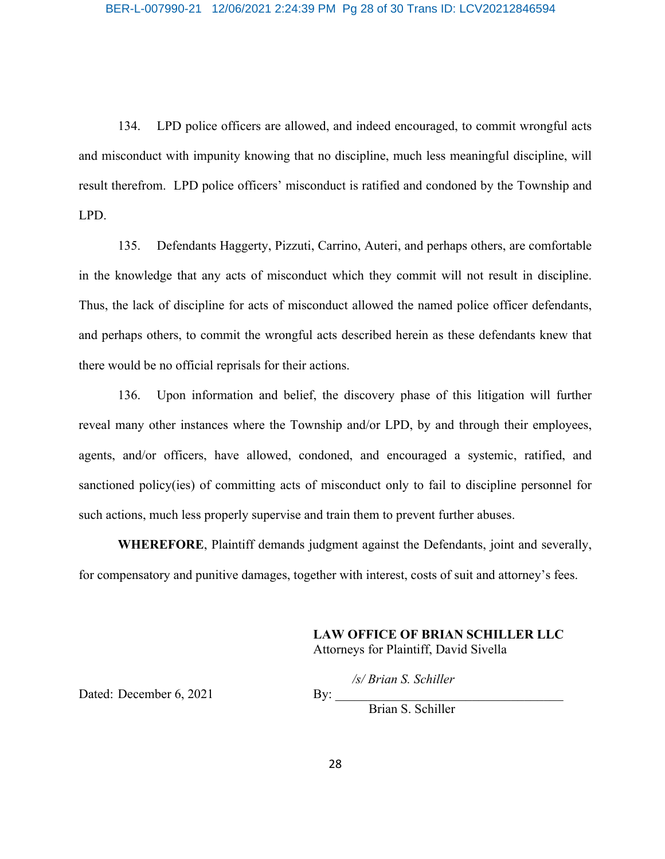134. LPD police officers are allowed, and indeed encouraged, to commit wrongful acts and misconduct with impunity knowing that no discipline, much less meaningful discipline, will result therefrom. LPD police officers' misconduct is ratified and condoned by the Township and LPD.

135. Defendants Haggerty, Pizzuti, Carrino, Auteri, and perhaps others, are comfortable in the knowledge that any acts of misconduct which they commit will not result in discipline. Thus, the lack of discipline for acts of misconduct allowed the named police officer defendants, and perhaps others, to commit the wrongful acts described herein as these defendants knew that there would be no official reprisals for their actions.

136. Upon information and belief, the discovery phase of this litigation will further reveal many other instances where the Township and/or LPD, by and through their employees, agents, and/or officers, have allowed, condoned, and encouraged a systemic, ratified, and sanctioned policy(ies) of committing acts of misconduct only to fail to discipline personnel for such actions, much less properly supervise and train them to prevent further abuses.

**WHEREFORE**, Plaintiff demands judgment against the Defendants, joint and severally, for compensatory and punitive damages, together with interest, costs of suit and attorney's fees.

> **LAW OFFICE OF BRIAN SCHILLER LLC** Attorneys for Plaintiff, David Sivella

> > */s/ Brian S. Schiller*

Dated: December  $6, 2021$  By:

Brian S. Schiller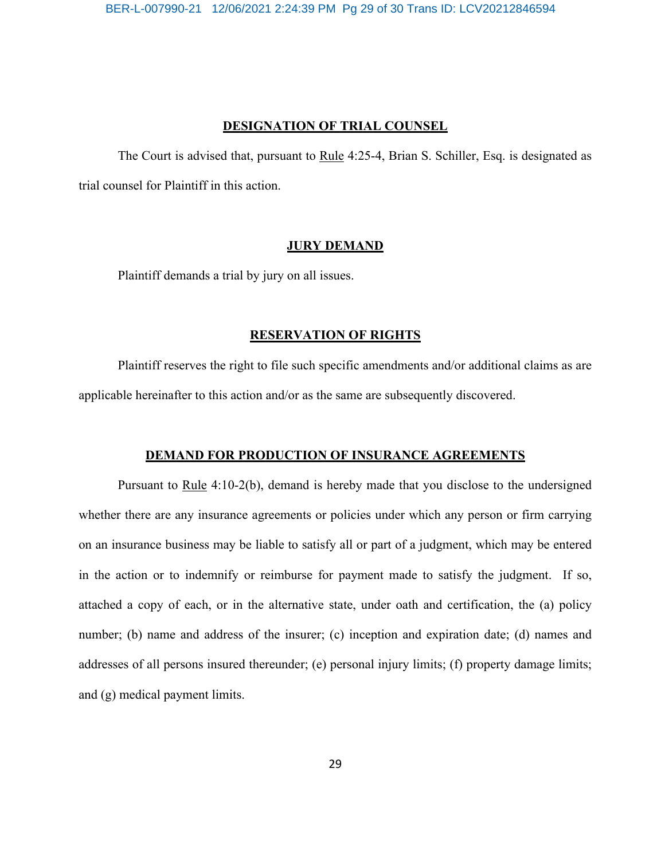#### **DESIGNATION OF TRIAL COUNSEL**

The Court is advised that, pursuant to Rule 4:25-4, Brian S. Schiller, Esq. is designated as trial counsel for Plaintiff in this action.

## **JURY DEMAND**

Plaintiff demands a trial by jury on all issues.

## **RESERVATION OF RIGHTS**

Plaintiff reserves the right to file such specific amendments and/or additional claims as are applicable hereinafter to this action and/or as the same are subsequently discovered.

## **DEMAND FOR PRODUCTION OF INSURANCE AGREEMENTS**

Pursuant to Rule 4:10-2(b), demand is hereby made that you disclose to the undersigned whether there are any insurance agreements or policies under which any person or firm carrying on an insurance business may be liable to satisfy all or part of a judgment, which may be entered in the action or to indemnify or reimburse for payment made to satisfy the judgment. If so, attached a copy of each, or in the alternative state, under oath and certification, the (a) policy number; (b) name and address of the insurer; (c) inception and expiration date; (d) names and addresses of all persons insured thereunder; (e) personal injury limits; (f) property damage limits; and (g) medical payment limits.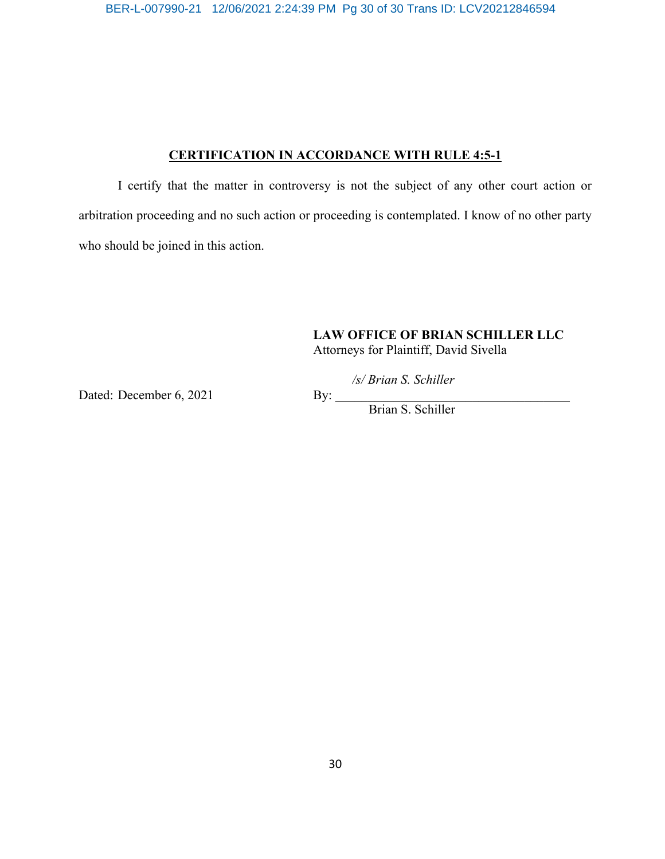BER-L-007990-21 12/06/2021 2:24:39 PM Pg 30 of 30 Trans ID: LCV20212846594

## **CERTIFICATION IN ACCORDANCE WITH RULE 4:5-1**

I certify that the matter in controversy is not the subject of any other court action or arbitration proceeding and no such action or proceeding is contemplated. I know of no other party who should be joined in this action.

## **LAW OFFICE OF BRIAN SCHILLER LLC**

Attorneys for Plaintiff, David Sivella

*/s/ Brian S. Schiller*

Dated: December 6, 2021 By:

Brian S. Schiller